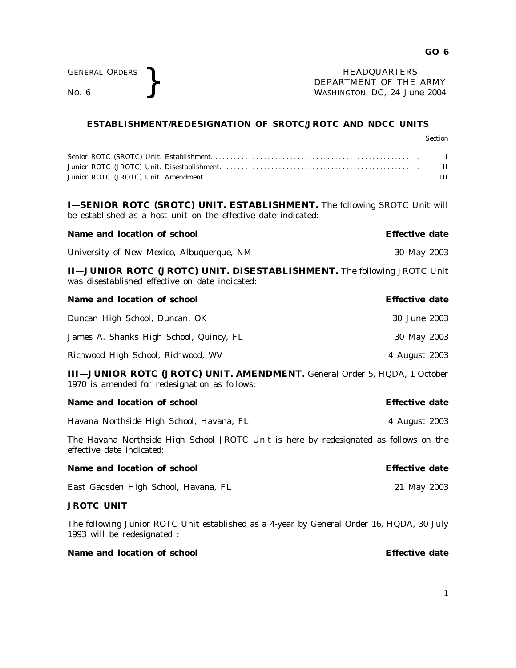GENERAL ORDERS <br>No. 6 <br>No. 6 <br>Nashington, DC, 24 Jul DEPARTMENT OF THE ARMY WASHINGTON, DC, *24 June 2004*

## **ESTABLISHMENT/REDESIGNATION OF SROTC/JROTC AND NDCC UNITS**

|                                                                                                                                                   | <b>Section</b>               |
|---------------------------------------------------------------------------------------------------------------------------------------------------|------------------------------|
|                                                                                                                                                   | $\bf{I}$<br>$_{\rm II}$<br>Ш |
| <b>I-SENIOR ROTC (SROTC) UNIT. ESTABLISHMENT.</b> The following SROTC Unit will<br>be established as a host unit on the effective date indicated: |                              |
| Name and location of school                                                                                                                       | <b>Effective date</b>        |
| University of New Mexico, Albuquerque, NM                                                                                                         | 30 May 2003                  |
| <b>II-JUNIOR ROTC (JROTC) UNIT. DISESTABLISHMENT.</b> The following JROTC Unit<br>was disestablished effective on date indicated:                 |                              |
| Name and location of school                                                                                                                       | <b>Effective date</b>        |
| Duncan High School, Duncan, OK                                                                                                                    | 30 June 2003                 |
| James A. Shanks High School, Quincy, FL                                                                                                           | 30 May 2003                  |
| Richwood High School, Richwood, WV                                                                                                                | 4 August 2003                |
| III-JUNIOR ROTC (JROTC) UNIT. AMENDMENT. General Order 5, HQDA, 1 October<br>1970 is amended for redesignation as follows:                        |                              |
| Name and location of school                                                                                                                       | <b>Effective date</b>        |
| Havana Northside High School, Havana, FL                                                                                                          | 4 August 2003                |
| The Havana Northside High School JROTC Unit is here by redesignated as follows on the<br>effective date indicated:                                |                              |
| Name and location of school                                                                                                                       | <b>Effective date</b>        |
| East Gadsden High School, Havana, FL                                                                                                              | 21 May 2003                  |
| <b>JROTC UNIT</b>                                                                                                                                 |                              |
| The following Junior ROTC Unit established as a 4-year by General Order 16, HQDA, 30 July<br>1993 will be redesignated :                          |                              |

## **Name and location of school Effective date**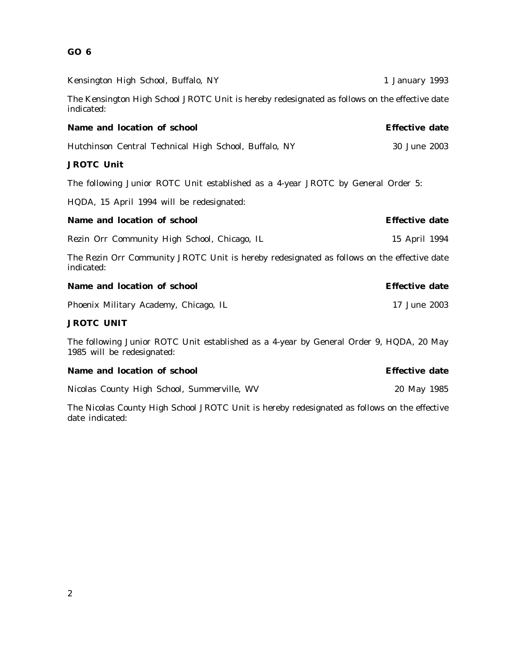## **GO 6**

| Kensington High School, Buffalo, NY                                                                                   | 1 January 1993        |  |
|-----------------------------------------------------------------------------------------------------------------------|-----------------------|--|
| The Kensington High School JROTC Unit is hereby redesignated as follows on the effective date<br>indicated:           |                       |  |
| Name and location of school                                                                                           | <b>Effective date</b> |  |
| Hutchinson Central Technical High School, Buffalo, NY                                                                 | 30 June 2003          |  |
| <b>JROTC Unit</b>                                                                                                     |                       |  |
| The following Junior ROTC Unit established as a 4-year JROTC by General Order 5:                                      |                       |  |
| HQDA, 15 April 1994 will be redesignated:                                                                             |                       |  |
| Name and location of school                                                                                           | <b>Effective date</b> |  |
| Rezin Orr Community High School, Chicago, IL                                                                          | 15 April 1994         |  |
| The Rezin Orr Community JROTC Unit is hereby redesignated as follows on the effective date<br>indicated:              |                       |  |
| Name and location of school                                                                                           | <b>Effective date</b> |  |
| Phoenix Military Academy, Chicago, IL                                                                                 | 17 June 2003          |  |
| <b>JROTC UNIT</b>                                                                                                     |                       |  |
| The following Junior ROTC Unit established as a 4-year by General Order 9, HQDA, 20 May<br>1985 will be redesignated: |                       |  |
| Name and location of school                                                                                           | <b>Effective date</b> |  |

Nicolas County High School, Summerville, WV 20 May 1985

The Nicolas County High School JROTC Unit is hereby redesignated as follows on the effective date indicated: